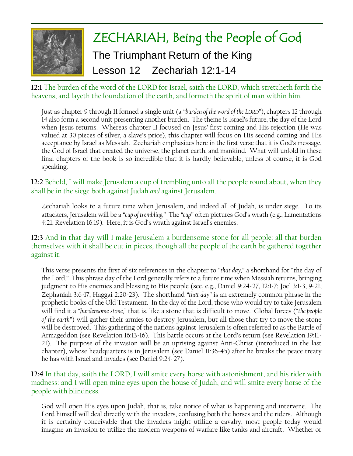

**12:1** The burden of the word of the LORD for Israel, saith the LORD, which stretcheth forth the heavens, and layeth the foundation of the earth, and formeth the spirit of man within him.

Just as chapter 9 through 11 formed a single unit (a *"burden of the word of the LORD"*), chapters 12 through 14 also form a second unit presenting another burden. The theme is Israel's future, the day of the Lord when Jesus returns. Whereas chapter 11 focused on Jesus' first coming and His rejection (He was valued at 30 pieces of silver, a slave's price), this chapter will focus on His second coming and His acceptance by Israel as Messiah. Zechariah emphasizes here in the first verse that it is God's message, the God of Israel that created the universe, the planet earth, and mankind. What will unfold in these final chapters of the book is so incredible that it is hardly believable, unless of course, it is God speaking.

**12:2** Behold, I will make Jerusalem a cup of trembling unto all the people round about, when they shall be in the siege both against Judah *and* against Jerusalem.

Zechariah looks to a future time when Jerusalem, and indeed all of Judah, is under siege. To its attackers, Jerusalem will be a *"cup of trembling."* The *"cup"* often pictures God's wrath (e.g., Lamentations 4:21, Revelation 16:19). Here, it is God's wrath against Israel's enemies.

**12:3** And in that day will I make Jerusalem a burdensome stone for all people: all that burden themselves with it shall be cut in pieces, though all the people of the earth be gathered together against it.

This verse presents the first of six references in the chapter to *"that day,"* a shorthand for "the day of the Lord." This phrase day of the Lord generally refers to a future time when Messiah returns, bringing judgment to His enemies and blessing to His people (see, e.g., Daniel 9:24-27, 12:1-7; Joel 3:1-3, 9-21; Zephaniah 3:6-17; Haggai 2:20-23). The shorthand *"that day"* is an extremely common phrase in the prophetic books of the Old Testament. In the day of the Lord, those who would try to take Jerusalem will find it a *"burdensome stone,"* that is, like a stone that is difficult to move. Global forces (*"the people of the earth"*) will gather their armies to destroy Jerusalem, but all those that try to move the stone will be destroyed. This gathering of the nations against Jerusalem is often referred to as the Battle of Armageddon (see Revelation 16:13-16). This battle occurs at the Lord's return (see Revelation 19:11- 21). The purpose of the invasion will be an uprising against Anti-Christ (introduced in the last chapter), whose headquarters is in Jerusalem (see Daniel 11:36-45) after he breaks the peace treaty he has with Israel and invades (see Daniel 9:24-27).

**12:4** In that day, saith the LORD, I will smite every horse with astonishment, and his rider with madness: and I will open mine eyes upon the house of Judah, and will smite every horse of the people with blindness.

God will open His eyes upon Judah, that is, take notice of what is happening and intervene. The Lord himself will deal directly with the invaders, confusing both the horses and the riders. Although it is certainly conceivable that the invaders might utilize a cavalry, most people today would imagine an invasion to utilize the modern weapons of warfare like tanks and aircraft. Whether or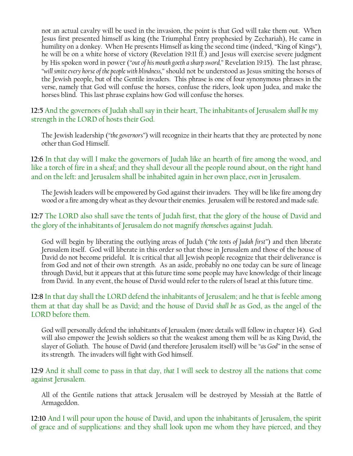not an actual cavalry will be used in the invasion, the point is that God will take them out. When Jesus first presented himself as king (the Triumphal Entry prophesied by Zechariah), He came in humility on a donkey. When He presents Himself as king the second time (indeed, "King of Kings"), he will be on a white horse of victory (Revelation 19:11 ff.) and Jesus will exercise severe judgment by His spoken word in power (*"out of his mouth goeth a sharp sword,"* Revelation 19:15). The last phrase, *"will smite every horse of the people with blindness,"* should not be understood as Jesus smiting the horses of the Jewish people, but of the Gentile invaders. This phrase is one of four synonymous phrases in the verse, namely that God will confuse the horses, confuse the riders, look upon Judea, and make the horses blind. This last phrase explains how God will confuse the horses.

**12:5** And the governors of Judah shall say in their heart, The inhabitants of Jerusalem *shall be* my strength in the LORD of hosts their God.

The Jewish leadership (*"the governors"*) will recognize in their hearts that they are protected by none other than God Himself.

**12:6** In that day will I make the governors of Judah like an hearth of fire among the wood, and like a torch of fire in a sheaf; and they shall devour all the people round about, on the right hand and on the left: and Jerusalem shall be inhabited again in her own place, *even* in Jerusalem.

The Jewish leaders will be empowered by God against their invaders. They will be like fire among dry wood or a fire among dry wheat as they devour their enemies. Jerusalem will be restored and made safe.

**12:7** The LORD also shall save the tents of Judah first, that the glory of the house of David and the glory of the inhabitants of Jerusalem do not magnify *themselves* against Judah.

God will begin by liberating the outlying areas of Judah (*"the tents of Judah first"*) and then liberate Jerusalem itself. God will liberate in this order so that those in Jerusalem and those of the house of David do not become prideful. It is critical that all Jewish people recognize that their deliverance is from God and not of their own strength. As an aside, probably no one today can be sure of lineage through David, but it appears that at this future time some people may have knowledge of their lineage from David. In any event, the house of David would refer to the rulers of Israel at this future time.

**12:8** In that day shall the LORD defend the inhabitants of Jerusalem; and he that is feeble among them at that day shall be as David; and the house of David *shall be* as God, as the angel of the LORD before them.

God will personally defend the inhabitants of Jerusalem (more details will follow in chapter 14). God will also empower the Jewish soldiers so that the weakest among them will be as King David, the slayer of Goliath. The house of David (and therefore Jerusalem itself) will be *"as God"* in the sense of its strength. The invaders will fight with God himself.

**12:9** And it shall come to pass in that day, *that* I will seek to destroy all the nations that come against Jerusalem.

All of the Gentile nations that attack Jerusalem will be destroyed by Messiah at the Battle of Armageddon.

**12:10** And I will pour upon the house of David, and upon the inhabitants of Jerusalem, the spirit of grace and of supplications: and they shall look upon me whom they have pierced, and they